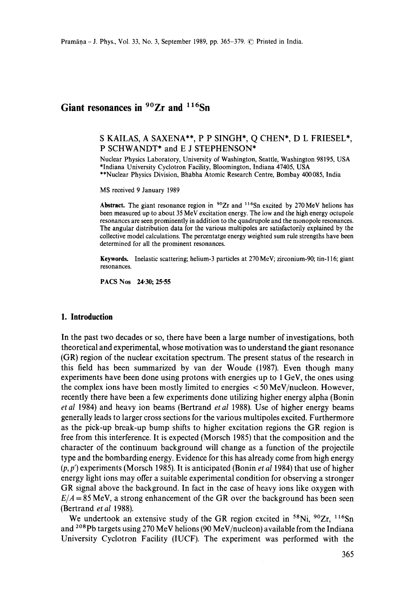# Giant resonances in <sup>90</sup>Zr and <sup>116</sup>Sn

### S KAILAS, A SAXENA\*\*, P P SINGH\*, Q CHEN\*, D L FRIESEL\*, P SCHWANDT\* and E J STEPHENSON\*

Nuclear Physics Laboratory, University of Washington, Seattle, Washington 98195, USA \*Indiana University Cyclotron Facility, Bloomington, Indiana 47405, USA \*\*Nuclear Physics Division, Bhabha Atomic Research Centre, Bombay 400 085, India

MS received 9 January 1989

Abstract. The giant resonance region in <sup>90</sup>Zr and <sup>116</sup>Sn excited by 270 MeV helions has been measured up to about 35 MeV excitation energy. The low and the high energy octupole resonances are seen prominently in addition to the quadrupole and the monopole resonances. The angular distribution data for the various multipoles are satisfactorily explained by the collective model calculations. The percentatge energy weighted sum rule strengths have been determined for all the prominent resonances.

**Keywords.** Inelastic scattering; helium-3 particles at 270 MeV; zirconium-90; tin-116; giant resonances.

PACS Nos 24.30; 25.55

#### **1. Introduction**

In the past two decades or so, there have been a large number of investigations, both theoretical and experimental, whose motivation was to understand the giant resonance (GR) region of the nuclear excitation spectrum. The present status of the research in this field has been summarized by van der Woude (1987). Even though many experiments have been done using protons with energies up to 1 GeV, the ones using the complex ions have been mostly limited to energies < 50 MeV/nucleon. However, recently there have been a few experiments done utilizing higher energy alpha (Bonin *etal* 1984) and heavy ion beams (Bertrand *etal* 1988). Use of higher energy beams generally leads to larger cross sections for the various multipoles excited. Furthermore as the pick-up break-up bump shifts to higher excitation regions the GR region is free from this interference. It is expected (Morsch 1985) that the composition and the character of the continuum background will change as a function of the projectile type and the bombarding energy. Evidence for this has already come from high energy (p, p') experiments (Morsch 1985). It is anticipated (Bonin *et al* 1984) that use of higher energy light ions may offer a suitable experimental condition for observing a stronger GR signal above the background. In fact in the case of heavy ions like oxygen with  $E/A = 85$  MeV, a strong enhancement of the GR over the background has been seen (Bertrand *et al* 1988).

We undertook an extensive study of the GR region excited in  $58$ Ni,  $90Zr$ ,  $116Sn$ and <sup>208</sup>Pb targets using 270 MeV helions (90 MeV/nucleon) available from the Indiana University Cyclotron Facility (IUCF). The experiment was performed with the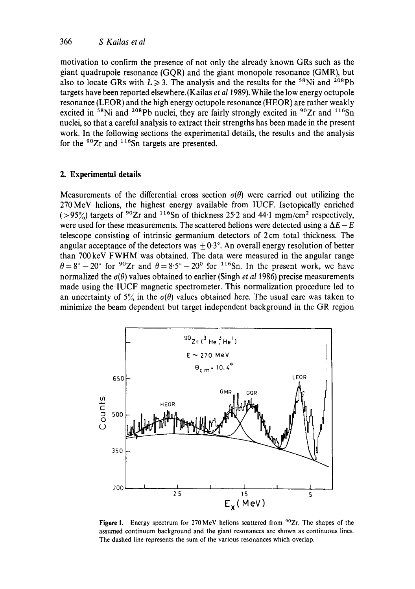motivation to confirm the presence of not only the already known GRs such as the giant quadrupole resonance (GQR) and the giant monopole resonance (GMR), but also to locate GRs with  $L \ge 3$ . The analysis and the results for the <sup>58</sup>Ni and <sup>208</sup>Pb targets have been reported elsewhere. (Kailas *et al* 1989). While the low energy octupole resonance (LEOR) and the high energy octupole resonance (HEOR) are rather weakly excited in <sup>58</sup>Ni and <sup>208</sup>Pb nuclei, they are fairly strongly excited in <sup>90</sup>Zr and <sup>116</sup>Sn nuclei, so that a careful analysis to extract their strengths has been made in the present work. In the following sections the experimental details, the results and the analysis for the  $90Zr$  and  $116Sn$  targets are presented.

# **2. Experimental details**

Measurements of the differential cross section  $\sigma(\theta)$  were carried out utilizing the 270MeV helions, the highest energy available from IUCF. Isotopically enriched ( $>95\%$ ) targets of <sup>90</sup>Zr and <sup>116</sup>Sn of thickness 25.2 and 44.1 mgm/cm<sup>2</sup> respectively, were used for these measurements. The scattered helions were detected using a  $\Delta E - E$ telescope consisting of intrinsic germanium detectors of 2 cm total thickness. The angular acceptance of the detectors was  $\pm 0.3^\circ$ . An overall energy resolution of better than 700 keV FWHM was obtained. The data were measured in the angular range  $\theta = 8^{\circ} - 20^{\circ}$  for  $9^{\circ}$ Zr and  $\theta = 8.5^{\circ} - 20^{\circ}$  for  $11^{\circ}$ Sn. In the present work, we have normalized the  $\sigma(\theta)$  values obtained to earlier (Singh *et al* 1986) precise measurements made using the IUCF magnetic spectrometer. This normalization procedure led to an uncertainty of  $5\%$  in the  $\sigma(\theta)$  values obtained here. The usual care was taken to minimize the beam dependent but target independent background in the GR region



Figure 1. Energy spectrum for 270 MeV helions scattered from <sup>90</sup>Zr. The shapes of the assumed continuum background and the giant resonances are shown as continuous lines. The dashed line represents the sum of the various resonances which overlap.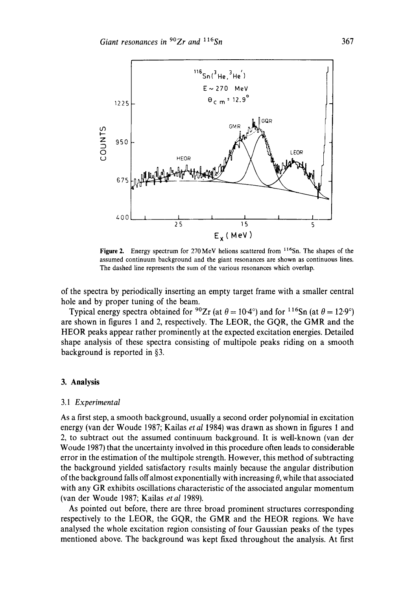

Figure 2. Energy spectrum for  $270 \text{ MeV}$  helions scattered from  $116 \text{Sn}$ . The shapes of the assumed continuum background and the giant resonances are shown as continuous lines. The dashed line represents the sum of the various resonances which overlap.

of the spectra by periodically inserting an empty target frame with a smaller central hole and by proper tuning of the beam.

Typical energy spectra obtained for <sup>90</sup>Zr (at  $\theta = 10 \cdot 4^{\circ}$ ) and for <sup>116</sup>Sn (at  $\theta = 12 \cdot 9^{\circ}$ ) are shown in figures 1 and 2, respectively. The LEOR, the GQR, the GMR and the HEOR peaks appear rather prominently at the expected excitation energies. Detailed shape analysis of these spectra consisting of multipole peaks riding on a smooth background is reported in §3.

#### **3. Analysis**

#### 3.1 *Experimental*

As a first step, a smooth background, usually a second order polynomial in excitation energy (van der Woude 1987; Kailas *et al* 1984) was drawn as shown in figures 1 and 2, to subtract out the assumed continuum background. It is well-known (van der Woude 1987) that the uncertainty involved in this procedure often leads to considerable error in the estimation of the multipole strength. However, this method of subtracting the background yielded satisfactory results mainly because the angular distribution of the background falls off almost exponentially with increasing  $\theta$ , while that associated with any GR exhibits oscillations characteristic of the associated angular momentum (van der Woude 1987; Kailas *etal* 1989).

As pointed out before, there are three broad prominent structures corresponding respectively to the LEOR, the GQR, the GMR and the HEOR regions. We have analysed the whole excitation region consisting of four Gaussian peaks of the types mentioned above. The background was kept fixed throughout the analysis. At first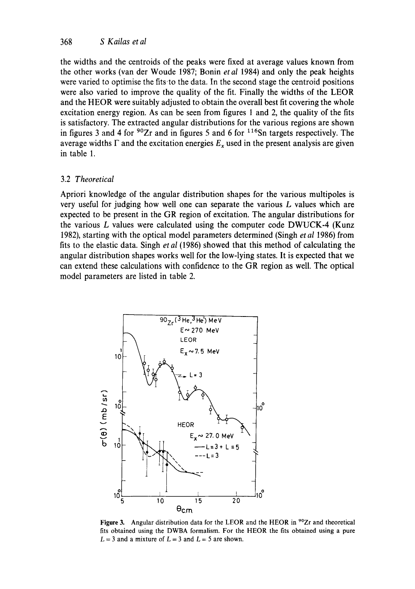the widths and the centroids of the peaks were fixed at average values known from the other works (van der Woude 1987; Bonin *et al* 1984) and only the peak heights were varied to optimise the fits-to the data. In the second stage the centroid positions were also varied to improve the quality of the fit. Finally the widths of the LEOR and the HEOR were suitably adjusted to obtain the overall best fit covering the whole excitation energy region. As can be seen from figures 1 and 2, the quality of the fits is satisfactory. The extracted angular distributions for the various regions are shown in figures 3 and 4 for  $90Zr$  and in figures 5 and 6 for  $116Sn$  targets respectively. The average widths  $\Gamma$  and the excitation energies  $E_x$  used in the present analysis are given in table 1.

### 3.2 *Theoretical*

Apriori knowledge of the angular distribution shapes for the various multipoles is very useful for judging how well one can separate the various L values which are expected to be present in the GR region of excitation. The angular distributions for the various L values were calculated using the computer code DWUCK-4 (Kunz 1982), starting with the optical model parameters determined (Singh *et al* 1986) from fits to the elastic data. Singh *et al* (1986) showed that this method of calculating the angular distribution shapes works well for the low-lying states. It is expected that we can extend these calculations with confidence to the GR region as well. The optical model parameters are listed in table 2.



Figure 3. Angular distribution data for the LEOR and the HEOR in <sup>90</sup>Zr and theoretical fits obtained using the DWBA formalism. For the HEOR the fits obtained using a pure  $L = 3$  and a mixture of  $L = 3$  and  $L = 5$  are shown.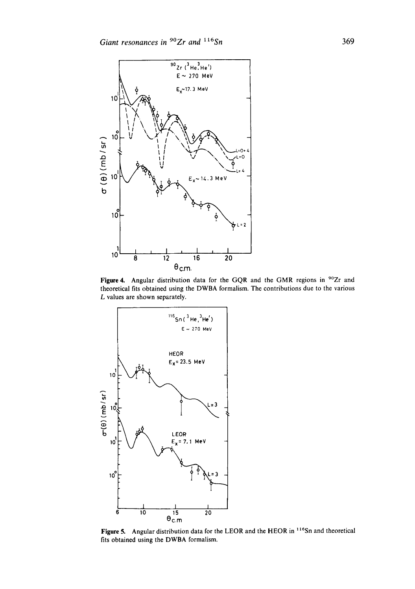

Figure 4. Angular distribution data for the GQR and the GMR regions in <sup>90</sup>Zr and theoretical fits obtained using the DWBA formalism. The contributions due to the various L values are shown separately.



Figure 5. Angular distribution data for the LEOR and the HEOR in <sup>116</sup>Sn and theoretical fits obtained using the DWBA formalism.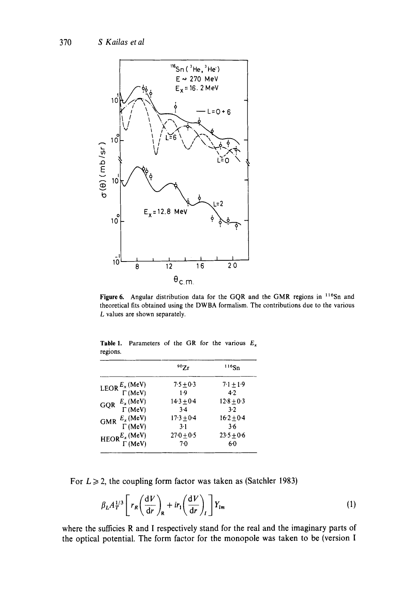

Figure 6. Angular distribution data for the GQR and the GMR regions in <sup>116</sup>Sn and theoretical fits obtained using the DWBA formalism. The contributions due to the various L values are shown separately.

|                                                   | $^{90}7r$      | $116$ Sn       |
|---------------------------------------------------|----------------|----------------|
|                                                   | $7.5 + 0.3$    | $7.1 \pm 1.9$  |
| LEOR $\frac{E_x(\text{MeV})}{\Gamma(\text{MeV})}$ | 1.9            | 4.2            |
| $E_x$ (MeV)                                       | $14.3 \pm 0.4$ | $12.8 \pm 0.3$ |
| GOR<br>$\Gamma$ (MeV)                             | $3-4$          | 3.2            |
| $E_x$ (MeV)<br><b>GMR</b>                         | $17.3 \pm 0.4$ | $16.2 + 0.4$   |
| $\Gamma$ (MeV)                                    | $3-1$          | 3.6            |
|                                                   | $270 + 0.5$    | $23.5 + 0.6$   |
| $HEOR_{\Gamma}^{E_x (MeV)}$<br>$\Gamma$ (MeV)     | $7-0$          | 60             |

Table 1. Parameters of the GR for the various  $E_x$ regions.

For  $L \ge 2$ , the coupling form factor was taken as (Satchler 1983)

$$
\beta_L A_T^{1/3} \left[ r_R \left( \frac{\mathrm{d}V}{\mathrm{d}r} \right)_R + ir_1 \left( \frac{\mathrm{d}V}{\mathrm{d}r} \right)_I \right] Y_{lm} \tag{1}
$$

where the sufficies R and **I** respectively stand for the real and the imaginary parts **of the optical potential. The form factor for the monopole was taken to be (version I**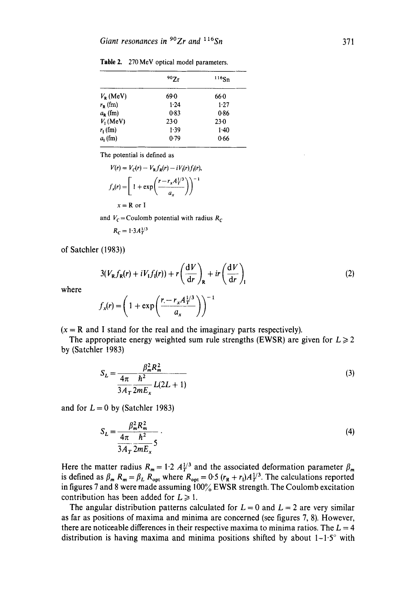|                   | $^{90}Zr$ | $116S_{n}$ |
|-------------------|-----------|------------|
| $V_{\rm p}$ (MeV) | 69.0      | 660        |
| $r_{\rm R}$ (fm)  | 1.24      | 1.27       |
| $a_{R}$ (fm)      | 0.83      | 0.86       |
| $V_1$ (MeV)       | 230       | 23.0       |
| $r_{\rm I}$ (fm)  | 1.39      | $1-40$     |
| $a1$ (fm)         | 0.79      | 0.66       |

**Table** 2. 270 MeV optical model parameters.

The potential is defined as

$$
V(r) = V_c(r) - V_R f_R(r) - iV_1(r)f_1(r),
$$
  

$$
f_x(r) = \left[1 + \exp\left(\frac{r - r_x A_T^{1/3}}{a_x}\right)\right]^{-1}
$$
  

$$
x = R \text{ or } I
$$

and  $V_c$ =Coulomb potential with radius  $R_c$ 

$$
R_C = 1.3 A_T^{1/3}
$$

of Satchler (1983))

$$
3(V_{R}f_{R}(r) + iV_{L}f_{I}(r)) + r\left(\frac{dV}{dr}\right)_{R} + ir\left(\frac{dV}{dr}\right)_{I}
$$
\n
$$
f(r) = \left(1 + \exp\left(\frac{r - r_{x}A_{T}^{1/3}}{r}\right)\right)^{-1}
$$
\n(2)

where

$$
f_x(r) = \left(1 + \exp\left(\frac{r - r_x A_T^{1/3}}{a_x}\right)\right)^{-1}
$$

 $(x = R$  and I stand for the real and the imaginary parts respectively).

The appropriate energy weighted sum rule strengths (EWSR) are given for  $L \ge 2$ by (Satchler 1983)

$$
S_L = \frac{\beta_m^2 R_m^2}{\frac{4\pi}{3A_T} \frac{\hbar^2}{2mE_x} L(2L+1)}
$$
(3)

and for  $L = 0$  by (Satchler 1983)

$$
S_L = \frac{\beta_m^2 R_m^2}{\frac{4\pi}{3A_T} \frac{\hbar^2}{2mE_x} 5} \tag{4}
$$

Here the matter radius  $R_m = 1.2 A_T^{1/3}$  and the associated deformation parameter  $\beta_m$ is defined as  $\beta_m$   $R_m = \beta_L$   $R_{\text{opt}}$  where  $R_{\text{opt}} = 0.5$   $(r_R + r_l)A_T^{1/3}$ . The calculations reported in figures 7 and 8 were made assuming  $100\%$  EWSR strength. The Coulomb excitation contribution has been added for  $L \ge 1$ .

The angular distribution patterns calculated for  $L = 0$  and  $L = 2$  are very similar as far as positions of maxima and minima are concerned (see figures 7, 8). However, there are noticeable differences in their respective maxima to minima ratios. The  $L = 4$ distribution is having maxima and minima positions shifted by about  $1-1.5^\circ$  with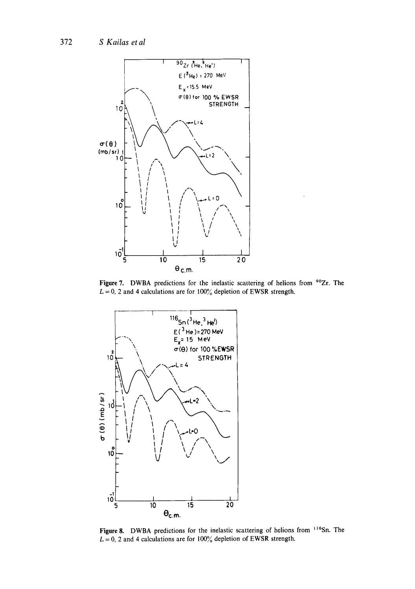

Figure 7. DWBA predictions for the inelastic scattering of helions from <sup>90</sup>Zr. The  $L = 0$ , 2 and 4 calculations are for 100% depletion of EWSR strength.



Figure 8. DWBA predictions for the inelastic scattering of helions from 116Sn. The  $L = 0$ , 2 and 4 calculations are for 100% depletion of EWSR strength.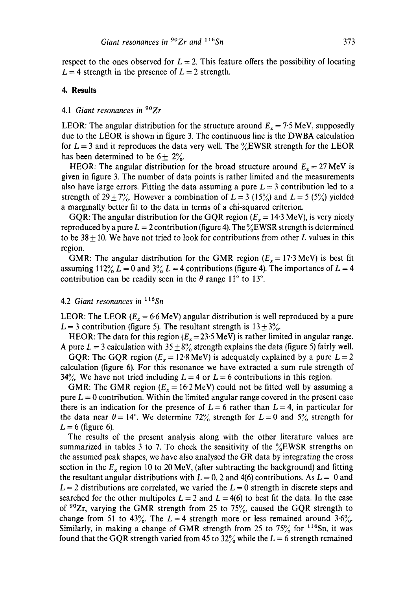respect to the ones observed for  $L = 2$ . This feature offers the possibility of locating  $L = 4$  strength in the presence of  $L = 2$  strength.

#### **4. Results**

## *4.1 Giant resonances in* 9°Zr

LEOR: The angular distribution for the structure around  $E_x = 7.5$  MeV, supposedly due to the LEOR is shown in figure 3. The continuous line is the DWBA calculation for  $L = 3$  and it reproduces the data very well. The  $\frac{6}{6}$ EWSR strength for the LEOR has been determined to be  $6 \pm 2\%$ .

HEOR: The angular distribution for the broad structure around  $E_x = 27$  MeV is given in figure 3. The number of data points is rather limited and the measurements also have large errors. Fitting the data assuming a pure  $L = 3$  contribution led to a strength of 29 + 7%. However a combination of  $L = 3$  (15%) and  $L = 5$  (5%) yielded a marginally better fit to the data in terms of a chi-squared criterion.

GQR: The angular distribution for the GQR region ( $E_x = 14.3$  MeV), is very nicely reproduced by a pure  $L = 2$  contribution (figure 4). The  $\frac{6}{6}$ EWSR strength is determined to be  $38 \pm 10$ . We have not tried to look for contributions from other L values in this region.

GMR: The angular distribution for the GMR region ( $E_x = 17.3$  MeV) is best fit assuming 112%  $L = 0$  and  $3\frac{3}{4}$   $L = 4$  contributions (figure 4). The importance of  $L = 4$ contribution can be readily seen in the  $\theta$  range 11<sup>°</sup> to 13<sup>°</sup>.

## 4.2 Giant resonances in <sup>116</sup>Sn

LEOR: The LEOR ( $E_x = 6.6$  MeV) angular distribution is well reproduced by a pure  $L = 3$  contribution (figure 5). The resultant strength is  $13 \pm 3\frac{1}{2}$ .

HEOR: The data for this region ( $E_x = 23.5$  MeV) is rather limited in angular range. A pure  $L = 3$  calculation with  $35 \pm 8\%$  strength explains the data (figure 5) fairly well.

GQR: The GQR region ( $E_x = 12.8$  MeV) is adequately explained by a pure  $L = 2$ calculation (figure 6). For this resonance we have extracted a sum rule strength of 34%. We have not tried including  $L = 4$  or  $L = 6$  contributions in this region.

GMR: The GMR region ( $E_x = 16.2 \text{ MeV}$ ) could not be fitted well by assuming a pure  $L = 0$  contribution. Within the limited angular range covered in the present case there is an indication for the presence of  $L = 6$  rather than  $L = 4$ , in particular for the data near  $\theta = 14^{\circ}$ . We determine 72% strength for  $L = 0$  and 5% strength for  $L = 6$  (figure 6).

The results of the present analysis along with the other literature values are summarized in tables 3 to 7. To check the sensitivity of the  $\frac{6}{6}$ EWSR strengths on the assumed peak shapes, we have also analysed the GR data by integrating the cross section in the  $E_x$  region 10 to 20 MeV, (after subtracting the background) and fitting the resultant angular distributions with  $L = 0$ , 2 and 4(6) contributions. As  $L = 0$  and  $L = 2$  distributions are correlated, we varied the  $L = 0$  strength in discrete steps and searched for the other multipoles  $L = 2$  and  $L = 4(6)$  to best fit the data. In the case of  $90Zr$ , varying the GMR strength from 25 to 75%, caused the GQR strength to change from 51 to 43%. The  $L = 4$  strength more or less remained around 3.6%. Similarly, in making a change of GMR strength from 25 to  $75\%$  for  $116$ Sn, it was found that the GQR strength varied from 45 to 32% while the  $L = 6$  strength remained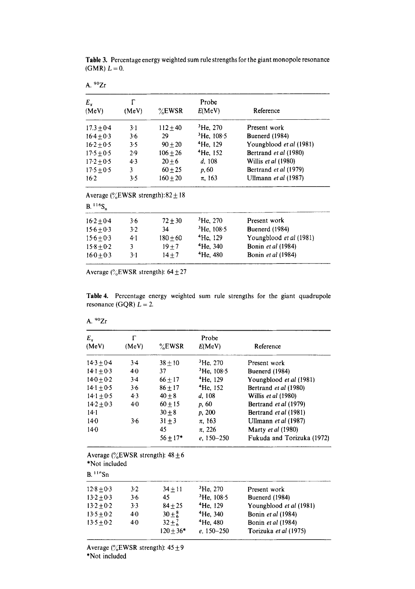| A. $90Zr$            |             |                                                   |                      |                                |
|----------------------|-------------|---------------------------------------------------|----------------------|--------------------------------|
| $E_{\star}$<br>(MeV) | г<br>(MeV)  | $\%$ EWSR                                         | Probe<br>E(MeV)      | Reference                      |
| $17.3 + 0.4$         | $3-1$       | $112 + 40$                                        | $3$ He, 270          | Present work                   |
| $16.4 + 0.3$         | $3 - 6$     | 29                                                | $3$ He, 108.5        | Buenerd (1984)                 |
| $16.2 + 0.5$         | 3.5         | $90 + 20$                                         | <sup>4</sup> He, 129 | Youngblood <i>et al</i> (1981) |
| $17.5 \pm 0.5$       | 2.9         | $106 + 26$                                        | $4$ He, 152          | Bertrand et al (1980)          |
| $17.2 \pm 0.5$       | 4.3         | $20 + 6$                                          | d. 108               | Willis et al (1980)            |
| $17.5 + 0.5$         | 3           | $60 + 25$                                         | p, 60                | Bertrand et al (1979)          |
| 16.2                 | 3.5         | $160 + 20$                                        | $\pi$ , 163          | Ullmann et al (1987)           |
|                      |             | Average $\frac{0}{2}$ EWSR strength): 82 $\pm$ 18 |                      |                                |
| $B.116S_n$           |             |                                                   |                      |                                |
| $16.2 + 0.4$         | 3.6         | $72 + 30$                                         | ${}^{3}$ He, 270     | Present work                   |
| $15.6 + 0.3$         | 3.2         | 34                                                | $3$ He, 108.5        | <b>Buenerd</b> (1984)          |
| $15.6 + 0.3$         | $4 \cdot 1$ | $180 + 60$                                        | $4$ He, 129          | Youngblood <i>et al</i> (1981) |
| $15.8 + 0.2$         | 3           | $19 + 7$                                          | $4$ He, 340          | Bonin et al (1984)             |
| $160 + 0.3$          | $3-1$       | $14 + 7$                                          | $4$ He, 480          | <b>Bonin</b> et al (1984)      |

Table 3. Percentage energy weighted sum rule strengths for the giant monopole resonance  $(GMR) L = 0.$ 

Average ( $\%$ EWSR strength):  $64 \pm 27$ 

Table 4. Percentage energy weighted sum rule strengths for the giant quadrupole resonance (GQR)  $L = 2$ .

|--|--|

| $E_{\star}$<br>(MeV)                    | Г<br>(MeV) | %EWSR                                     | Probe<br>E(MeV)               | Reference                                   |
|-----------------------------------------|------------|-------------------------------------------|-------------------------------|---------------------------------------------|
| $14.3 \pm 0.4$                          | $3-4$      | $38 + 10$                                 | $3$ He, 270                   | Present work                                |
| $14.1 \pm 0.3$                          | $4-0$      | 37                                        | $3$ He, 108.5                 | Buenerd (1984)                              |
| $14.0 + 0.2$                            | $3-4$      | $66 + 17$                                 | <sup>4</sup> He, 129          | Youngblood et al (1981)                     |
| $14.1 \pm 0.5$                          | 3.6        | $86 + 17$                                 | <sup>4</sup> He, 152          | Bertrand et al (1980)                       |
| $14.1 \pm 0.5$                          | 4.3        | $40 \pm 8$                                | d, 108                        | Willis et al (1980)                         |
| $14.2 \pm 0.3$                          | 40         | $60 + 15$                                 | p, 60                         | Bertrand et al (1979)                       |
| $14 - 1$                                |            | $30\pm8$                                  | p, 200                        | Bertrand et al (1981)                       |
| 140                                     | 3.6        | $31 \pm 3$                                | $\pi$ , 163                   | Ullmann et al (1987)                        |
| 140                                     |            | 45                                        | $\pi$ , 226                   | Marty et al (1980)                          |
|                                         |            | $56 + 17*$                                | $e, 150 - 250$                | Fukuda and Torizuka (1972)                  |
| *Not included<br>$B.$ <sup>116</sup> Sn |            | Average ( $\%$ EWSR strength): 48 $\pm$ 6 |                               |                                             |
| $12.8 \pm 0.3$                          | $3 - 2$    | $34 \pm 11$                               | ${}^{3}$ He, 270              | Present work                                |
| $13.2 + 0.3$                            | $3 - 6$    | 45                                        | $3$ He, 108.5                 | <b>Buenerd</b> (1984)                       |
| $13.2 \pm 0.2$                          | 3.3        | $84 + 25$                                 | <sup>4</sup> He, 129          | Youngblood et al (1981)                     |
| $13.5 + 0.2$                            | $4-0$      | $30 \pm \frac{8}{6}$                      | <sup>4</sup> He, 340          | Bonin et al (1984)                          |
| $13.5 \pm 0.2$                          | 40         | $32 \pm 7.6$<br>$120 \pm 36*$             | $4$ He, 480<br>$e. 150 - 250$ | Bonin et al (1984)<br>Torizuka et al (1975) |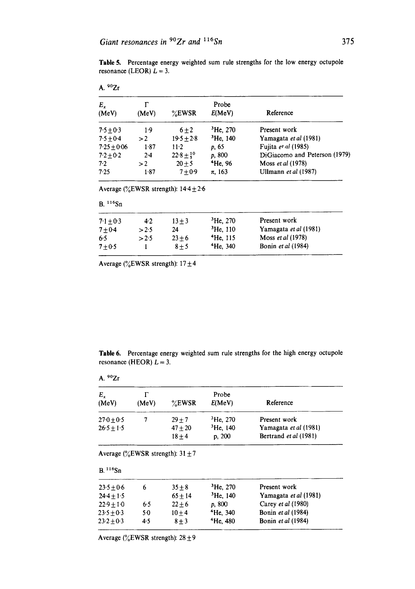Table 5. Percentage energy weighted sum rule strengths for the low energy octupole resonance (LEOR)  $L = 3$ .

| A. $90Zr$<br>E, |       |                         | Probe                |                               |
|-----------------|-------|-------------------------|----------------------|-------------------------------|
| (MeV)           | (MeV) | $\%$ EWSR               | E(MeV)               | Reference                     |
| $7.5 + 0.3$     | 1.9   | $6 + 2$                 | $^3$ He, 270         | Present work                  |
| $7.5 + 0.4$     | >2    | $19.5 + 2.8$            | <sup>3</sup> He, 140 | Yamagata et al (1981)         |
| $7.25 + 0.06$   | 1.87  | $11-2$                  | p. 65                | Fujita et al (1985)           |
| $7.2 + 0.2$     | $2-4$ | $22.8 \pm \frac{10}{5}$ | p. 800               | DiGiacomo and Peterson (1979) |
| 7.2             | >2    | $20 + 5$                | <sup>4</sup> He, 96  | Moss et al (1978)             |
| 7.25            | 1.87  | $7 + 0.9$               | $\pi$ , 163          | Ullmann et al (1987)          |

Average ( $\%$ EWSR strength): 14.4  $\pm$  2.6

| B.116Sn     |       |          |             |                       |  |
|-------------|-------|----------|-------------|-----------------------|--|
| $7.1 + 0.3$ | $4-2$ | $13 + 3$ | $3$ He, 270 | Present work          |  |
| $7 + 0.4$   | > 2.5 | 24       | $3$ He, 110 | Yamagata et al (1981) |  |
| 6.5         | >2.5  | $23 + 6$ | $4$ He, 115 | Moss et al (1978)     |  |
| $7 + 0.5$   |       | $8 + 5$  | $4$ He, 340 | Bonin et al (1984)    |  |

Average ( $\%$ EWSR strength): 17 $\pm$ 4

Table 6. Percentage energy weighted sum rule strengths for the high energy octupole resonance (HEOR)  $L = 3$ .

A. 9°Zr

| $E_{x}$<br>(MeV) | (MeV) | $\%$ EWSR                                 | Probe<br>E(MeV)  | Reference             |
|------------------|-------|-------------------------------------------|------------------|-----------------------|
| $270 \pm 0.5$    |       | $29 + 7$                                  | ${}^{3}$ He, 270 | Present work          |
| $26.5 + 1.5$     |       | $47 + 20$                                 | $3$ He, 140      | Yamagata et al (1981) |
|                  |       | $18 + 4$                                  | p. 200           | Bertrand et al (1981) |
|                  |       | Average ( $\%$ EWSR strength): 31 $\pm$ 7 |                  |                       |
|                  |       |                                           |                  |                       |
| $B.116$ Sn       |       |                                           |                  |                       |

| $23.5 + 0.6$ |     | $35 + 8$  | $^3$ He, 270  | Present work              |  |
|--------------|-----|-----------|---------------|---------------------------|--|
| $24.4 + 1.5$ |     | $65 + 14$ | $^3$ He, 140  | Yamagata et al (1981)     |  |
| $22.9 + 1.0$ | 65  | $22+6$    | <i>p.</i> 800 | Carey et al (1980)        |  |
| $23.5 + 0.3$ | 50  | $10 + 4$  | $4$ He, 340   | Bonin et al (1984)        |  |
| $23.2 + 0.3$ | 4.5 | $8 + 3$   | $4$ He, 480   | <b>Bonin</b> et al (1984) |  |
|              |     |           |               |                           |  |

Average ( $\%$ EWSR strength): 28  $\pm$  9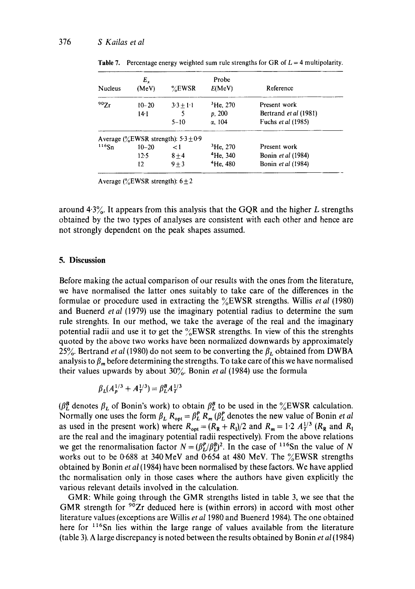| <b>Nucleus</b> | $E_{x}$<br>(MeV) | $\%$ EWSR                                | Probe<br>E(MeV)      | Reference                 |
|----------------|------------------|------------------------------------------|----------------------|---------------------------|
| 90Zr           | $10 - 20$        | $3.3 + 1.1$                              | <sup>3</sup> He, 270 | Present work              |
|                | 14·1             |                                          | p, 200               | Bertrand et al (1981)     |
|                |                  | $5 - 10$                                 | $\alpha$ , 104       | Fuchs <i>et al</i> (1985) |
|                |                  | Average ( $\%$ EWSR strength): 5.3 ± 0.9 |                      |                           |
| 116Sn          | $10 - 20$        | $\leq$ 1                                 | ${}^{3}$ He, 270     | Present work              |
|                | 12.5             | $8 + 4$                                  | $4$ He, 340          | Bonin et al (1984)        |
|                | 12               | $9 + 3$                                  | <sup>4</sup> He, 480 | Bonin et al (1984)        |
|                |                  |                                          |                      |                           |

**Table 7.** Percentage energy weighted sum rule strengths for GR of  $L = 4$  multipolarity.

Average (%EWSR strength):  $6 \pm 2$ 

around  $4.3\%$ . It appears from this analysis that the GQR and the higher L strengths obtained by the two types of analyses are consistent with each other and hence are not strongly dependent on the peak shapes assumed.

#### **5. Discussion**

Before making the actual comparison of our results with the ones from the literature, we have normalised the latter ones suitably to take care of the differences in the formulae or procedure used in extracting the %EWSR strengths. Willis *etal* (1980) and Buenerd *etal* (1979) use the imaginary potential radius to determine the sum rule strenghts. In our method, we take the average of the real and the imaginary potential radii and use it to get the  $\frac{9}{6}$ EWSR strengths. In view of this the strenghts quoted by the above two works have been normalized downwards by approximately 25%. Bertrand *et al* (1980) do not seem to be converting the  $\beta_L$  obtained from DWBA analysis to  $\beta_m$  before determining the strengths. To take care of this we have normalised their values upwards by about 30%. Bonin *et al* (1984) use the formula

$$
\beta_L(A_p^{1/3} + A_T^{1/3}) = \beta_L^B A_T^{1/3}
$$

( $\beta_L^B$  denotes  $\beta_L$  of Bonin's work) to obtain  $\beta_L^B$  to be used in the %EWSR calculation. Normally one uses the form  $\beta_L$   $R_{\text{opt}} = \beta_L^P$   $R_m$  ( $\beta_L^P$  denotes the new value of Bonin *et al* as used in the present work) where  $R_{\text{opt}} = (R_R + R_J)/2$  and  $R_m = 1.2 A_T^{1/3}$  ( $R_R$  and  $R_I$ ) are the real and the imaginary potential radii respectively). From the above relations we get the renormalisation factor  $N = (\beta_L^P/\beta_L^B)^2$ . In the case of <sup>116</sup>Sn the value of N works out to be 0.688 at 340 MeV and 0.654 at 480 MeV. The  $\frac{6}{6}$ EWSR strengths obtained by Bonin *et al* (1984) have been normalised by these factors. We have applied the normalisation only in those cases where the authors have given explicitly the various relevant details involved in the calculation.

GMR: While going through the GMR strengths listed in table 3, we see that the GMR strength for  $90Zr$  deduced here is (within errors) in accord with most other literature values (exceptions are Willis *et a11980* and Buenerd 1984). The one obtained here for <sup>116</sup>Sn lies within the large range of values available from the literature (table 3). A large discrepancy is noted between the results obtained by Bonin *et al* (1984)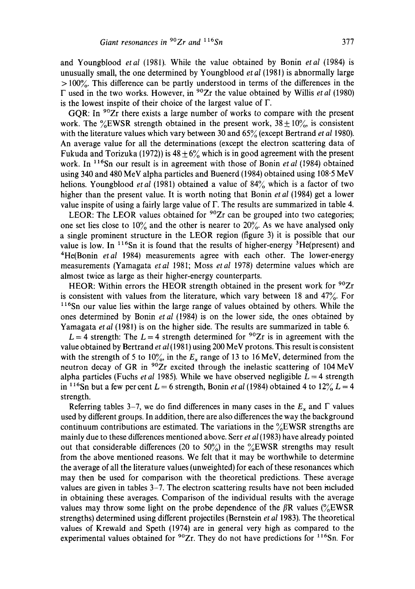and Youngblood *etal* (1981). While the value obtained by Bonin *etal* (1984) is unusually small, the one determined by Youngblood *etal* (1981) is abnormally large  $> 100\%$ . This difference can be partly understood in terms of the differences in the F used in the two works. However, in 9°Zr the value obtained by Willis *et al* (1980) is the lowest inspite of their choice of the largest value of  $\Gamma$ .

GQR: In <sup>90</sup>Zr there exists a large number of works to compare with the present work. The  $\%$ EWSR strength obtained in the present work,  $38 \pm 10\%$ , is consistent with the literature values which vary between 30 and 65% (except Bertrand *et al* 1980). An average value for all the determinations (except the electron scattering data of Fukuda and Torizuka (1972)) is  $48 \pm 6\%$  which is in good agreement with the present work. In <sup>116</sup>Sn our result is in agreement with those of Bonin *et al* (1984) obtained using 340 and 480 MeV alpha particles and Buenerd (1984) obtained using 108.5 MeV helions. Youngblood *et al* (1981) obtained a value of 84% which is a factor of two higher than the present value. It is worth noting that Bonin *etal* (1984) get a lower value inspite of using a fairly large value of  $\Gamma$ . The results are summarized in table 4.

LEOR: The LEOR values obtained for  $90Zr$  can be grouped into two categories; one set lies close to  $10\%$  and the other is nearer to  $20\%$ . As we have analysed only a single prominent structure in the LEOR region (figure 3) it is possible that our value is low. In  $116$ Sn it is found that the results of higher-energy  $3$ He(present) and 4He(Bonin *etal* 1984) measurements agree with each other. The lower-energy measurements (Yamagata *etal* 1981; Moss *etal* 1978) determine values which are almost twice as large as their higher-energy counterparts.

HEOR: Within errors the HEOR strength obtained in the present work for  $90Zr$ is consistent with values from the literature, which vary between 18 and  $47\%$ . For  $116$ Sn our value lies within the large range of values obtained by others. While the ones determined by Bonin *etal* (1984) is on the lower side, the ones obtained by Yamagata *et al* (1981) is on the higher side. The results are summarized in table 6.

 $L = 4$  strength: The  $L = 4$  strength determined for <sup>90</sup>Zr is in agreement with the value obtained by Bertrand *et al* (1981) using 200 MeV protons. This result is consistent with the strength of 5 to 10%, in the  $E_x$  range of 13 to 16 MeV, determined from the neutron decay of GR in <sup>90</sup>Zr excited through the inelastic scattering of 104 MeV alpha particles (Fuchs *et al* 1985). While we have observed negligible  $L = 4$  strength in <sup>116</sup>Sn but a few per cent  $L = 6$  strength, Bonin *et al* (1984) obtained 4 to 12<sup>o</sup><sub>0</sub> $L = 4$ strength.

Referring tables 3–7, we do find differences in many cases in the  $E_x$  and  $\Gamma$  values used by different groups. In addition, there are also differences the way the background continuum contributions are estimated. The variations in the  $\%$ EWSR strengths are mainly due to these differences mentioned above. Serr *et al* (1983) have already pointed out that considerable differences (20 to 50%) in the  $\%$ EWSR strengths may result from the above mentioned reasons. We felt that it may be worthwhile to determine the average of all the literature values (unweighted) for each of these resonances which may then be used for comparison with the theoretical predictions. These average values are given in tables  $3-7$ . The electron scattering results have not been included in obtaining these averages. Comparison of the individual results with the average values may throw some light on the probe dependence of the  $\beta R$  values ( $\%$ EWSR strengths) determined using different projectiles (Bernstein *et al* 1983). The theoretical values of Krewald and Speth (1974) are in general very high as compared to the experimental values obtained for  $90Zr$ . They do not have predictions for  $116Sn$ . For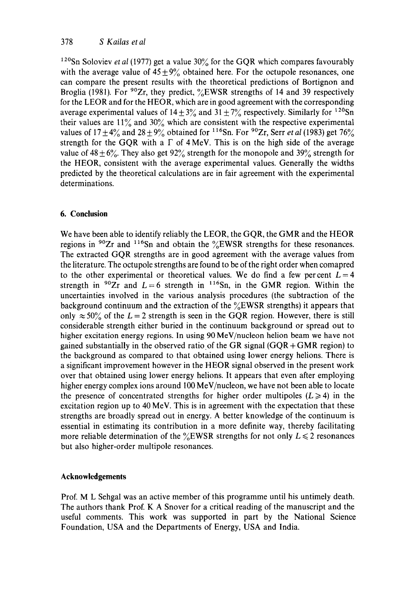<sup>120</sup>Sn Soloviev *et al* (1977) get a value  $30\%$  for the GQR which compares favourably with the average value of  $45 \pm 9\%$  obtained here. For the octupole resonances, one can compare the present results with the theoretical predictions of Bortignon and Broglia (1981). For  $90Zr$ , they predict,  $\%EWSR$  strengths of 14 and 39 respectively for the LEOR and for the HEOR, which are in good agreement with the corresponding average experimental values of  $14 \pm 3\%$  and  $31 \pm 7\%$  respectively. Similarly for <sup>120</sup>Sn their values are  $11\%$  and  $30\%$  which are consistent with the respective experimental values of  $17 \pm 4\%$  and  $28 \pm 9\%$  obtained for <sup>116</sup>Sn. For <sup>90</sup>Zr, Serr *et al* (1983) get 76% strength for the GQR with a  $\Gamma$  of 4 MeV. This is on the high side of the average value of  $48 \pm 6\%$ . They also get  $92\%$  strength for the monopole and  $39\%$  strength for the HEOR, consistent with the average experimental values. Generally the widths predicted by the theoretical calculations are in fair agreement with the experimental determinations.

# **6. Conclusion**

We have been able to identify reliably the LEOR, the GQR, the GMR and the HEOR regions in  $90Zr$  and  $116Sn$  and obtain the  $\%EWSR$  strengths for these resonances. The extracted GQR strengths are in good agreement with the average values from the literature. The octupole strengths are found to be of the right order when comapred to the other experimental or theoretical values. We do find a few percent  $L = 4$ strength in  $90Zr$  and  $L=6$  strength in <sup>116</sup>Sn, in the GMR region. Within the uncertainties involved in the various analysis procedures (the subtraction of the background continuum and the extraction of the  $\frac{6}{2}$ EWSR strengths) it appears that only  $\approx 50\%$  of the L = 2 strength is seen in the GQR region. However, there is still considerable strength either buried in the continuum background or spread out to higher excitation energy regions. In using 90 MeV/nucleon helion beam we have not gained substantially in the observed ratio of the GR signal  $(GQR + GMR$  region) to the background as compared to that obtained using lower energy helions. There is a significant improvement however in the HEOR signal observed in the present work over that obtained using lower energy helions. It appears that even after employing higher energy complex ions around 100 MeV/nucleon, we have not been able to locate the presence of concentrated strengths for higher order multipoles ( $L \ge 4$ ) in the excitation region up to 40 MeV. This is in agreement with the expectation that these strengths are broadly spread out in energy. A better knowledge of the continuum is essential in estimating its contribution in a more definite way, thereby facilitating more reliable determination of the  $\frac{6}{6}$ EWSR strengths for not only  $L \le 2$  resonances but also higher-order multipole resonances.

# **Acknowledgements**

Prof. M L Sehgal was an active member of this programme until his untimely death. The authors thank Prof. K A Snover for a critical reading of the manuscript and the useful comments. This work was supported in part by the National Science Foundation, USA and the Departments of Energy, USA and India.